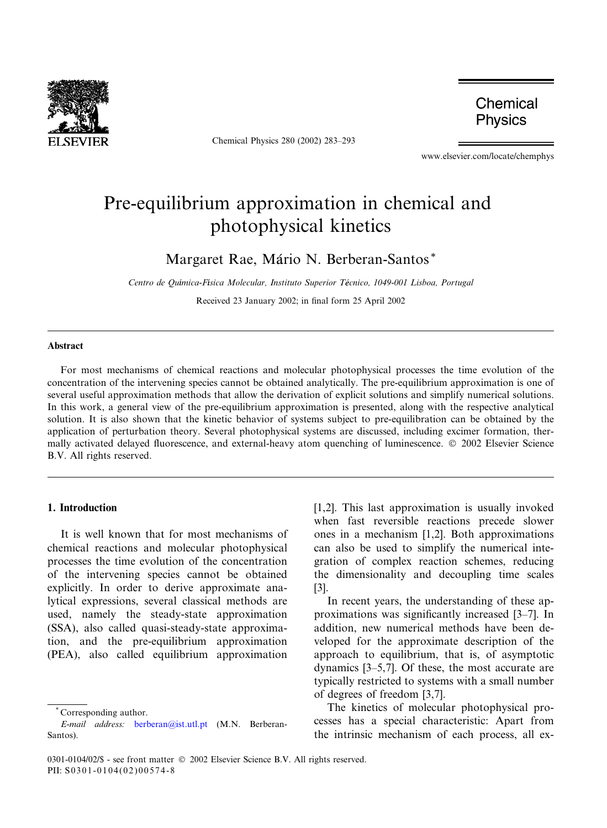

Chemical Physics 280 (2002) 283–293

Chemical **Physics** 

www.elsevier.com/locate/chemphys

# Pre-equilibrium approximation in chemical and photophysical kinetics

Margaret Rae, Mário N. Berberan-Santos\*

Centro de Química-Física Molecular, Instituto Superior Técnico, 1049-001 Lisboa, Portugal

Received 23 January 2002; in final form 25 April 2002

# Abstract

For most mechanisms of chemical reactions and molecular photophysical processes the time evolution of the concentration of the intervening species cannot be obtained analytically. The pre-equilibrium approximation is one of several useful approximation methods that allow the derivation of explicit solutions and simplify numerical solutions. In this work, a general view of the pre-equilibrium approximation is presented, along with the respective analytical solution. It is also shown that the kinetic behavior of systems subject to pre-equilibration can be obtained by the application of perturbation theory. Several photophysical systems are discussed, including excimer formation, thermally activated delayed fluorescence, and external-heavy atom quenching of luminescence. © 2002 Elsevier Science B.V. All rights reserved.

# 1. Introduction

It is well known that for most mechanisms of chemical reactions and molecular photophysical processes the time evolution of the concentration of the intervening species cannot be obtained explicitly. In order to derive approximate analytical expressions, several classical methods are used, namely the steady-state approximation (SSA), also called quasi-steady-state approximation, and the pre-equilibrium approximation (PEA), also called equilibrium approximation

[1,2]. This last approximation is usually invoked when fast reversible reactions precede slower ones in a mechanism [1,2]. Both approximations can also be used to simplify the numerical integration of complex reaction schemes, reducing the dimensionality and decoupling time scales [3].

In recent years, the understanding of these approximations was significantly increased [3–7]. In addition, new numerical methods have been developed for the approximate description of the approach to equilibrium, that is, of asymptotic dynamics [3–5,7]. Of these, the most accurate are typically restricted to systems with a small number of degrees of freedom [3,7].

The kinetics of molecular photophysical processes has a special characteristic: Apart from the intrinsic mechanism of each process, all ex-

Corresponding author.

E-mail address: [berberan@ist.utl.pt](mail to: berberan@ist.utl.pt) (M.N. Berberan-Santos).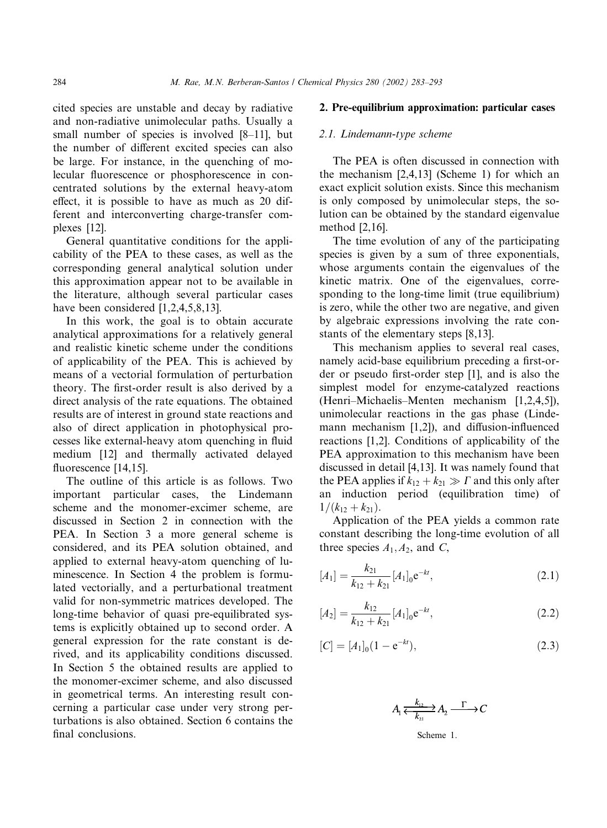cited species are unstable and decay by radiative and non-radiative unimolecular paths. Usually a small number of species is involved [8–11], but the number of different excited species can also be large. For instance, in the quenching of molecular fluorescence or phosphorescence in concentrated solutions by the external heavy-atom effect, it is possible to have as much as 20 different and interconverting charge-transfer complexes [12].

General quantitative conditions for the applicability of the PEA to these cases, as well as the corresponding general analytical solution under this approximation appear not to be available in the literature, although several particular cases have been considered [1,2,4,5,8,13].

In this work, the goal is to obtain accurate analytical approximations for a relatively general and realistic kinetic scheme under the conditions of applicability of the PEA. This is achieved by means of a vectorial formulation of perturbation theory. The first-order result is also derived by a direct analysis of the rate equations. The obtained results are of interest in ground state reactions and also of direct application in photophysical processes like external-heavy atom quenching in fluid medium [12] and thermally activated delayed fluorescence [14,15].

The outline of this article is as follows. Two important particular cases, the Lindemann scheme and the monomer-excimer scheme, are discussed in Section 2 in connection with the PEA. In Section 3 a more general scheme is considered, and its PEA solution obtained, and applied to external heavy-atom quenching of luminescence. In Section 4 the problem is formulated vectorially, and a perturbational treatment valid for non-symmetric matrices developed. The long-time behavior of quasi pre-equilibrated systems is explicitly obtained up to second order. A general expression for the rate constant is derived, and its applicability conditions discussed. In Section 5 the obtained results are applied to the monomer-excimer scheme, and also discussed in geometrical terms. An interesting result concerning a particular case under very strong perturbations is also obtained. Section 6 contains the final conclusions.

# 2. Pre-equilibrium approximation: particular cases

### 2.1. Lindemann-type scheme

The PEA is often discussed in connection with the mechanism [2,4,13] (Scheme 1) for which an exact explicit solution exists. Since this mechanism is only composed by unimolecular steps, the solution can be obtained by the standard eigenvalue method [2,16].

The time evolution of any of the participating species is given by a sum of three exponentials, whose arguments contain the eigenvalues of the kinetic matrix. One of the eigenvalues, corresponding to the long-time limit (true equilibrium) is zero, while the other two are negative, and given by algebraic expressions involving the rate constants of the elementary steps [8,13].

This mechanism applies to several real cases, namely acid-base equilibrium preceding a first-order or pseudo first-order step [1], and is also the simplest model for enzyme-catalyzed reactions (Henri–Michaelis–Menten mechanism [1,2,4,5]), unimolecular reactions in the gas phase (Lindemann mechanism [1,2]), and diffusion-influenced reactions [1,2]. Conditions of applicability of the PEA approximation to this mechanism have been discussed in detail [4,13]. It was namely found that the PEA applies if  $k_{12} + k_{21} \gg \Gamma$  and this only after an induction period (equilibration time) of  $1/(k_{12} + k_{21}).$ 

Application of the PEA yields a common rate constant describing the long-time evolution of all three species  $A_1, A_2$ , and C,

$$
[A_1] = \frac{k_{21}}{k_{12} + k_{21}} [A_1]_0 e^{-kt},
$$
\n(2.1)

$$
[A_2] = \frac{k_{12}}{k_{12} + k_{21}} [A_1]_0 e^{-kt},
$$
\n(2.2)

$$
[C] = [A_1]_0 (1 - e^{-kt}), \tag{2.3}
$$

$$
A_1 \xleftarrow[k_{12}]{k_{12}} A_2 \xrightarrow{\Gamma} C
$$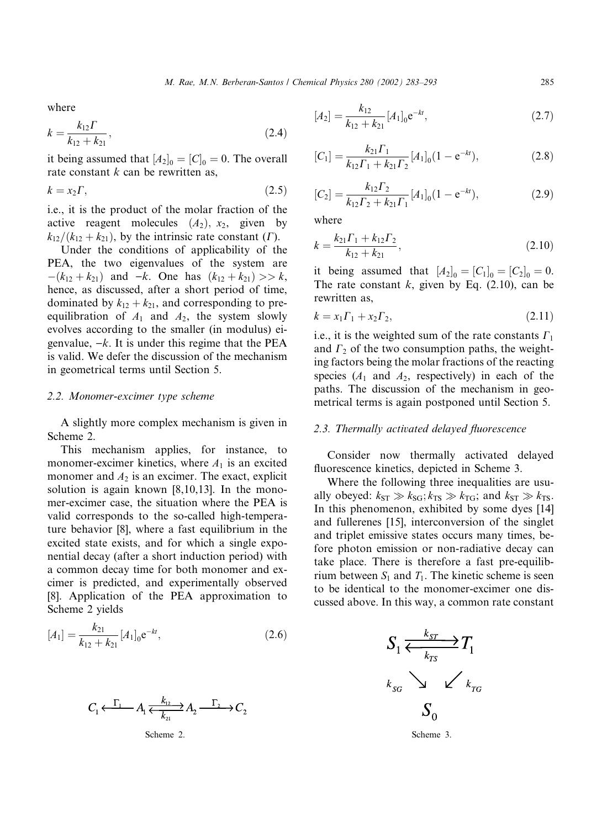where

$$
k = \frac{k_{12} \Gamma}{k_{12} + k_{21}},\tag{2.4}
$$

it being assumed that  $[A_2]_0 = [C]_0 = 0$ . The overall rate constant  $k$  can be rewritten as,

$$
k = x_2 \Gamma, \tag{2.5}
$$

i.e., it is the product of the molar fraction of the active reagent molecules  $(A_2)$ ,  $x_2$ , given by  $k_{12}/(k_{12}+k_{21})$ , by the intrinsic rate constant (*Γ*).

Under the conditions of applicability of the PEA, the two eigenvalues of the system are  $-(k_{12} + k_{21})$  and  $-k$ . One has  $(k_{12} + k_{21}) >> k$ , hence, as discussed, after a short period of time, dominated by  $k_{12} + k_{21}$ , and corresponding to preequilibration of  $A_1$  and  $A_2$ , the system slowly evolves according to the smaller (in modulus) eigenvalue,  $-k$ . It is under this regime that the PEA is valid. We defer the discussion of the mechanism in geometrical terms until Section 5.

#### 2.2. Monomer-excimer type scheme

A slightly more complex mechanism is given in Scheme 2.

This mechanism applies, for instance, to monomer-excimer kinetics, where  $A_1$  is an excited monomer and  $A_2$  is an excimer. The exact, explicit solution is again known [8,10,13]. In the monomer-excimer case, the situation where the PEA is valid corresponds to the so-called high-temperature behavior [8], where a fast equilibrium in the excited state exists, and for which a single exponential decay (after a short induction period) with a common decay time for both monomer and excimer is predicted, and experimentally observed [8]. Application of the PEA approximation to Scheme 2 yields

$$
[A_1] = \frac{k_{21}}{k_{12} + k_{21}} [A_1]_0 e^{-kt},
$$
\n(2.6)



$$
[A_2] = \frac{k_{12}}{k_{12} + k_{21}} [A_1]_0 e^{-kt},
$$
\n(2.7)

$$
[C_1] = \frac{k_{21} \Gamma_1}{k_{12} \Gamma_1 + k_{21} \Gamma_2} [A_1]_0 (1 - e^{-kt}),
$$
\n(2.8)

$$
[C_2] = \frac{k_{12}\Gamma_2}{k_{12}\Gamma_2 + k_{21}\Gamma_1} [A_1]_0 (1 - e^{-kt}),
$$
 (2.9)

where

$$
k = \frac{k_{21}\Gamma_1 + k_{12}\Gamma_2}{k_{12} + k_{21}},
$$
\n(2.10)

it being assumed that  $[A_2]_0 = [C_1]_0 = [C_2]_0 = 0.$ The rate constant  $k$ , given by Eq. (2.10), can be rewritten as,

$$
k = x_1 \Gamma_1 + x_2 \Gamma_2,\tag{2.11}
$$

i.e., it is the weighted sum of the rate constants  $\Gamma_1$ and  $\Gamma_2$  of the two consumption paths, the weighting factors being the molar fractions of the reacting species  $(A_1 \text{ and } A_2, \text{ respectively})$  in each of the paths. The discussion of the mechanism in geometrical terms is again postponed until Section 5.

# 2.3. Thermally activated delayed fluorescence

Consider now thermally activated delayed fluorescence kinetics, depicted in Scheme 3.

Where the following three inequalities are usually obeyed:  $k_{ST} \gg k_{SG}; k_{TS} \gg k_{TG};$  and  $k_{ST} \gg k_{TS}$ . In this phenomenon, exhibited by some dyes [14] and fullerenes [15], interconversion of the singlet and triplet emissive states occurs many times, before photon emission or non-radiative decay can take place. There is therefore a fast pre-equilibrium between  $S_1$  and  $T_1$ . The kinetic scheme is seen to be identical to the monomer-excimer one discussed above. In this way, a common rate constant

$$
S_1 \xleftarrow[k_{\text{rs}}]{k_{\text{sr}}} T_1
$$
\n
$$
k_{\text{sc}} \searrow \swarrow k_{\text{rc}}
$$
\n
$$
S_0
$$

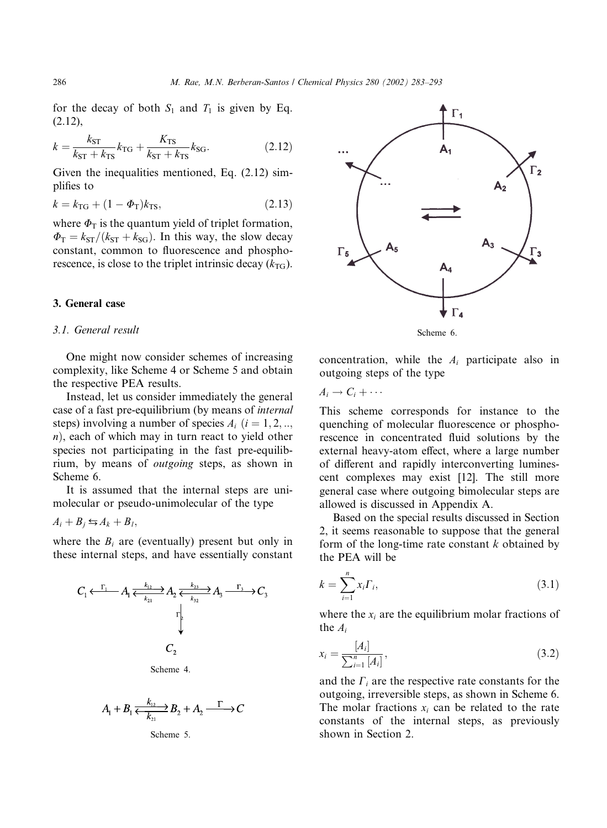for the decay of both  $S_1$  and  $T_1$  is given by Eq. (2.12),

$$
k = \frac{k_{\rm ST}}{k_{\rm ST} + k_{\rm TS}} k_{\rm TG} + \frac{K_{\rm TS}}{k_{\rm ST} + k_{\rm TS}} k_{\rm SG}.
$$
 (2.12)

Given the inequalities mentioned, Eq. (2.12) simplifies to

$$
k = k_{\text{TG}} + (1 - \Phi_{\text{T}})k_{\text{TS}},\tag{2.13}
$$

where  $\Phi_T$  is the quantum yield of triplet formation,  $\Phi_T = k_{ST}/(k_{ST} + k_{SG})$ . In this way, the slow decay constant, common to fluorescence and phosphorescence, is close to the triplet intrinsic decay  $(k_{\text{TG}})$ .

# 3. General case

# 3.1. General result

One might now consider schemes of increasing complexity, like Scheme 4 or Scheme 5 and obtain the respective PEA results.

Instead, let us consider immediately the general case of a fast pre-equilibrium (by means of internal steps) involving a number of species  $A_i$   $(i = 1, 2, ...$  $n$ ), each of which may in turn react to yield other species not participating in the fast pre-equilibrium, by means of outgoing steps, as shown in Scheme 6.

It is assumed that the internal steps are unimolecular or pseudo-unimolecular of the type

$$
A_i + B_j \leftrightarrows A_k + B_l,
$$

where the  $B_i$  are (eventually) present but only in these internal steps, and have essentially constant



Scheme 4.

$$
A_1 + B_1 \xleftarrow{k_{12}} B_2 + A_2 \xrightarrow{\Gamma} C
$$
  
Scheme 5.



concentration, while the  $A_i$  participate also in outgoing steps of the type

 $A_i \rightarrow C_i + \cdots$ 

This scheme corresponds for instance to the quenching of molecular fluorescence or phosphorescence in concentrated fluid solutions by the external heavy-atom effect, where a large number of different and rapidly interconverting luminescent complexes may exist [12]. The still more general case where outgoing bimolecular steps are allowed is discussed in Appendix A.

Based on the special results discussed in Section 2, it seems reasonable to suppose that the general form of the long-time rate constant  $k$  obtained by the PEA will be

$$
k = \sum_{i=1}^{n} x_i \Gamma_i,
$$
\n(3.1)

where the  $x_i$  are the equilibrium molar fractions of the  $A_i$ 

$$
x_i = \frac{[A_i]}{\sum_{i=1}^n [A_i]},\tag{3.2}
$$

and the  $\Gamma_i$  are the respective rate constants for the outgoing, irreversible steps, as shown in Scheme 6. The molar fractions  $x_i$  can be related to the rate constants of the internal steps, as previously shown in Section 2.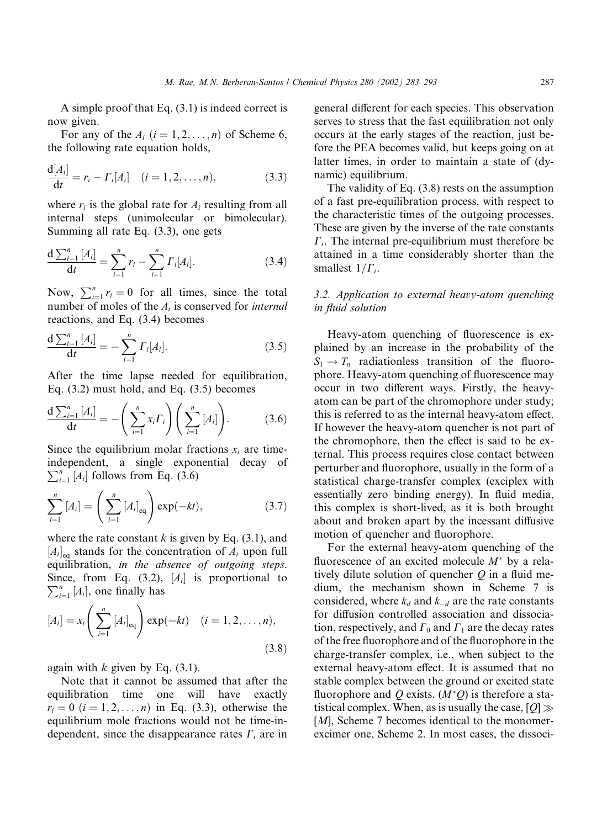A simple proof that Eq. (3.1) is indeed correct is now given.

For any of the  $A_i$   $(i = 1, 2, \ldots, n)$  of Scheme 6, the following rate equation holds,

$$
\frac{d[A_i]}{dt} = r_i - \Gamma_i[A_i] \quad (i = 1, 2, \dots, n), \tag{3.3}
$$

where  $r_i$  is the global rate for  $A_i$  resulting from all internal steps (unimolecular or bimolecular). Summing all rate Eq. (3.3), one gets

$$
\frac{d \sum_{i=1}^{n} [A_i]}{dt} = \sum_{i=1}^{n} r_i - \sum_{i=1}^{n} \Gamma_i [A_i]. \tag{3.4}
$$

Now,  $\sum_{i=1}^{n} r_i = 0$  for all times, since the total number of moles of the  $A_i$  is conserved for *internal* reactions, and Eq. (3.4) becomes

$$
\frac{d \sum_{i=1}^{n} [A_i]}{dt} = -\sum_{i=1}^{n} \Gamma_i [A_i]. \tag{3.5}
$$

After the time lapse needed for equilibration, Eq. (3.2) must hold, and Eq. (3.5) becomes

$$
\frac{\mathrm{d}\sum_{i=1}^{n}[A_{i}]}{\mathrm{d}t}=-\left(\sum_{i=1}^{n}x_{i}\Gamma_{i}\right)\left(\sum_{i=1}^{n}[A_{i}]\right).
$$
 (3.6)

Since the equilibrium molar fractions  $x_i$  are timeindependent, a single exponential decay of  $\sum_{i=1}^{n}$  [A<sub>i</sub>] follows from Eq. (3.6)

$$
\sum_{i=1}^{n} [A_i] = \left(\sum_{i=1}^{n} [A_i]_{\text{eq}}\right) \exp(-kt), \tag{3.7}
$$

where the rate constant  $k$  is given by Eq. (3.1), and  $[A_i]_{\text{eq}}$  stands for the concentration of  $A_i$  upon full equilibration, in the absence of outgoing steps. Since, from Eq. (3.2),  $[A_i]$  is proportional to  $\sum_{i=1}^{n} [A_i]$  one finally hese  $\sum_{i=1}^{n}$  [A<sub>i</sub>], one finally has

$$
[A_{i}] = x_{i} \left( \sum_{i=1}^{n} [A_{i}]_{eq} \right) \exp(-kt) \quad (i = 1, 2, ..., n),
$$
\n(3.8)

again with  $k$  given by Eq.  $(3.1)$ .

Note that it cannot be assumed that after the equilibration time one will have exactly  $r_i = 0$   $(i = 1, 2, ..., n)$  in Eq. (3.3), otherwise the equilibrium mole fractions would not be time-independent, since the disappearance rates  $\Gamma_i$  are in

general different for each species. This observation serves to stress that the fast equilibration not only occurs at the early stages of the reaction, just before the PEA becomes valid, but keeps going on at latter times, in order to maintain a state of (dynamic) equilibrium.

The validity of Eq. (3.8) rests on the assumption of a fast pre-equilibration process, with respect to the characteristic times of the outgoing processes. These are given by the inverse of the rate constants  $\Gamma_i$ . The internal pre-equilibrium must therefore be attained in a time considerably shorter than the smallest  $1/\Gamma_i$ .

# 3.2. Application to external heavy-atom quenching in fluid solution

Heavy-atom quenching of fluorescence is explained by an increase in the probability of the  $S_1 \rightarrow T_n$  radiationless transition of the fluorophore. Heavy-atom quenching of fluorescence may occur in two different ways. Firstly, the heavyatom can be part of the chromophore under study; this is referred to as the internal heavy-atom effect. If however the heavy-atom quencher is not part of the chromophore, then the effect is said to be external. This process requires close contact between perturber and fluorophore, usually in the form of a statistical charge-transfer complex (exciplex with essentially zero binding energy). In fluid media, this complex is short-lived, as it is both brought about and broken apart by the incessant diffusive motion of quencher and fluorophore.

For the external heavy-atom quenching of the fluorescence of an excited molecule  $M^*$  by a relatively dilute solution of quencher  $Q$  in a fluid medium, the mechanism shown in Scheme 7 is considered, where  $k_d$  and  $k_d$  are the rate constants for diffusion controlled association and dissociation, respectively, and  $\Gamma_0$  and  $\Gamma_1$  are the decay rates of the free fluorophore and of the fluorophore in the charge-transfer complex, i.e., when subject to the external heavy-atom effect. It is assumed that no stable complex between the ground or excited state fluorophore and Q exists.  $(M^*Q)$  is therefore a statistical complex. When, as is usually the case,  $[Q] \gg$ [*M*], Scheme 7 becomes identical to the monomerexcimer one, Scheme 2. In most cases, the dissoci-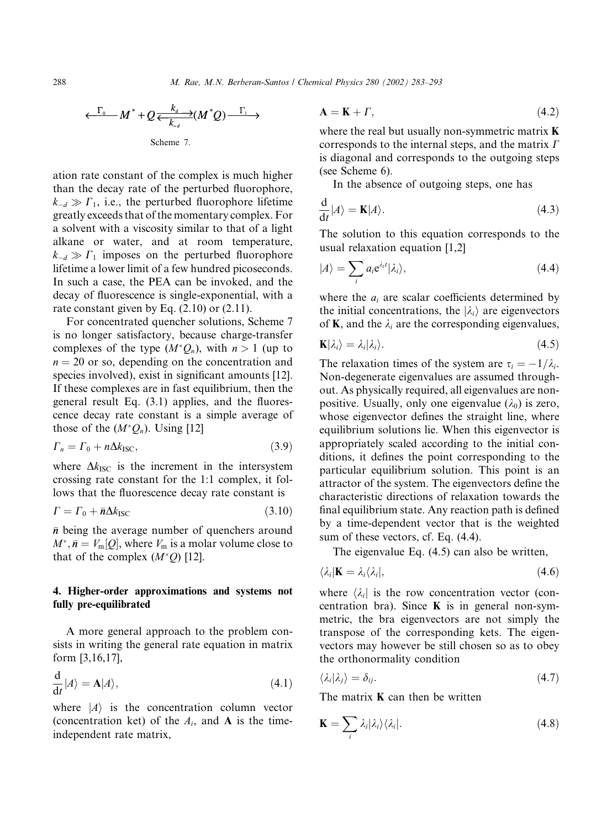$$
\frac{\Gamma_0}{\Gamma_0} M^* + Q \frac{k_d}{k_d} (M^*Q) \xrightarrow{\Gamma_1} \rightarrow
$$
  
Scheme 7.

ation rate constant of the complex is much higher than the decay rate of the perturbed fluorophore,  $k_{-d} \gg \Gamma_1$ , i.e., the perturbed fluorophore lifetime greatly exceeds that of the momentary complex. For a solvent with a viscosity similar to that of a light alkane or water, and at room temperature,  $k_{-d} \gg \Gamma_1$  imposes on the perturbed fluorophore lifetime a lower limit of a few hundred picoseconds. In such a case, the PEA can be invoked, and the decay of fluorescence is single-exponential, with a rate constant given by Eq. (2.10) or (2.11).

For concentrated quencher solutions, Scheme 7 is no longer satisfactory, because charge-transfer complexes of the type  $(M^*Q_n)$ , with  $n > 1$  (up to  $n = 20$  or so, depending on the concentration and species involved), exist in significant amounts [12]. If these complexes are in fast equilibrium, then the general result Eq. (3.1) applies, and the fluorescence decay rate constant is a simple average of those of the  $(M^*Q_n)$ . Using [12]

$$
\Gamma_n = \Gamma_0 + n\Delta k_{\text{ISC}},\tag{3.9}
$$

where  $\Delta k_{\text{ISC}}$  is the increment in the intersystem crossing rate constant for the 1:1 complex, it follows that the fluorescence decay rate constant is

$$
\Gamma = \Gamma_0 + \bar{n}\Delta k_{\rm{ISC}} \tag{3.10}
$$

 $\bar{n}$  being the average number of quenchers around  $M^*, \bar{n} = V_m[Q]$ , where  $V_m$  is a molar volume close to that of the complex  $(M^*Q)$  [12].

# 4. Higher-order approximations and systems not fully pre-equilibrated

A more general approach to the problem consists in writing the general rate equation in matrix form [3,16,17],

$$
\frac{\mathrm{d}}{\mathrm{d}t}|A\rangle = \mathbf{A}|A\rangle,\tag{4.1}
$$

where  $|A\rangle$  is the concentration column vector (concentration ket) of the  $A_i$ , and **A** is the timeindependent rate matrix,

$$
\mathbf{A} = \mathbf{K} + \Gamma,\tag{4.2}
$$

where the real but usually non-symmetric matrix **K** corresponds to the internal steps, and the matrix  $\Gamma$ is diagonal and corresponds to the outgoing steps (see Scheme 6).

In the absence of outgoing steps, one has

$$
\frac{\mathrm{d}}{\mathrm{d}t}|A\rangle = \mathbf{K}|A\rangle. \tag{4.3}
$$

The solution to this equation corresponds to the usual relaxation equation [1,2]

$$
|A\rangle = \sum_{i} a_i e^{\lambda_i t} |\lambda_i\rangle, \qquad (4.4)
$$

where the  $a_i$  are scalar coefficients determined by the initial concentrations, the  $|\lambda_i\rangle$  are eigenvectors of **K**, and the  $\lambda_i$  are the corresponding eigenvalues,

$$
\mathbf{K}|\lambda_i\rangle = \lambda_i|\lambda_i\rangle. \tag{4.5}
$$

The relaxation times of the system are  $\tau_i = -1/\lambda_i$ . Non-degenerate eigenvalues are assumed throughout. As physically required, all eigenvalues are nonpositive. Usually, only one eigenvalue  $(\lambda_0)$  is zero, whose eigenvector defines the straight line, where equilibrium solutions lie. When this eigenvector is appropriately scaled according to the initial conditions, it defines the point corresponding to the particular equilibrium solution. This point is an attractor of the system. The eigenvectors define the characteristic directions of relaxation towards the final equilibrium state. Any reaction path is defined by a time-dependent vector that is the weighted sum of these vectors, cf. Eq. (4.4).

The eigenvalue Eq. (4.5) can also be written,

$$
\langle \lambda_i | \mathbf{K} = \lambda_i \langle \lambda_i |, \tag{4.6}
$$

where  $\langle \lambda_i |$  is the row concentration vector (concentration bra). Since  $\bf{K}$  is in general non-symmetric, the bra eigenvectors are not simply the transpose of the corresponding kets. The eigenvectors may however be still chosen so as to obey the orthonormality condition

$$
\langle \lambda_i | \lambda_j \rangle = \delta_{ij}.\tag{4.7}
$$

The matrix  $\bf{K}$  can then be written

$$
\mathbf{K} = \sum_{i} \lambda_{i} |\lambda_{i}\rangle\langle\lambda_{i}|.
$$
 (4.8)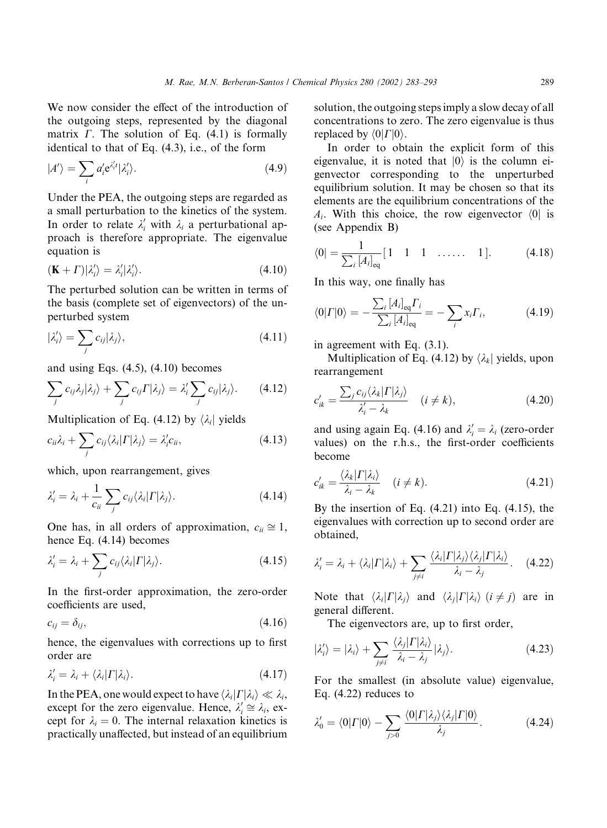We now consider the effect of the introduction of the outgoing steps, represented by the diagonal matrix  $\Gamma$ . The solution of Eq. (4.1) is formally identical to that of Eq. (4.3), i.e., of the form

$$
|A'\rangle = \sum_{i} a'_{i} e^{\lambda'_{i}t} |\lambda'_{i}\rangle.
$$
 (4.9)

Under the PEA, the outgoing steps are regarded as a small perturbation to the kinetics of the system. In order to relate  $\lambda'_i$  with  $\lambda_i$  a perturbational approach is therefore appropriate. The eigenvalue equation is

$$
(\mathbf{K} + \Gamma)|\lambda_i'\rangle = \lambda_i'|\lambda_i'\rangle. \tag{4.10}
$$

The perturbed solution can be written in terms of the basis (complete set of eigenvectors) of the unperturbed system

$$
|\lambda'_{i}\rangle = \sum_{j} c_{ij} |\lambda_{j}\rangle, \qquad (4.11)
$$

and using Eqs.  $(4.5)$ ,  $(4.10)$  becomes

$$
\sum_j c_{ij} \lambda_j |\lambda_j\rangle + \sum_j c_{ij} \Gamma |\lambda_j\rangle = \lambda_i' \sum_j c_{ij} |\lambda_j\rangle. \qquad (4.12)
$$

Multiplication of Eq. (4.12) by  $\lambda_i$  yields

$$
c_{ii}\lambda_i + \sum_j c_{ij} \langle \lambda_i | \Gamma | \lambda_j \rangle = \lambda'_i c_{ii}, \qquad (4.13)
$$

which, upon rearrangement, gives

$$
\lambda'_{i} = \lambda_{i} + \frac{1}{c_{ii}} \sum_{j} c_{ij} \langle \lambda_{i} | \Gamma | \lambda_{j} \rangle.
$$
 (4.14)

One has, in all orders of approximation,  $c_{ii} \approx 1$ , hence Eq. (4.14) becomes

$$
\lambda'_{i} = \lambda_{i} + \sum_{j} c_{ij} \langle \lambda_{i} | \Gamma | \lambda_{j} \rangle.
$$
 (4.15)

In the first-order approximation, the zero-order coefficients are used,

 $c_{ij} = \delta_{ij},$  (4.16)

hence, the eigenvalues with corrections up to first order are

$$
\lambda_i' = \lambda_i + \langle \lambda_i | \Gamma | \lambda_i \rangle. \tag{4.17}
$$

In the PEA, one would expect to have  $\langle \lambda_i | \Gamma | \lambda_i \rangle \ll \lambda_i$ , except for the zero eigenvalue. Hence,  $\lambda'_i \cong \lambda_i$ , except for  $\lambda_i = 0$ . The internal relaxation kinetics is practically unaffected, but instead of an equilibrium solution, the outgoing steps imply a slow decay of all concentrations to zero. The zero eigenvalue is thus replaced by  $\langle 0| \Gamma |0 \rangle$ .

In order to obtain the explicit form of this eigenvalue, it is noted that  $|0\rangle$  is the column eigenvector corresponding to the unperturbed equilibrium solution. It may be chosen so that its elements are the equilibrium concentrations of the  $A_i$ . With this choice, the row eigenvector  $\langle 0 |$  is (see Appendix B)

$$
\langle 0| = \frac{1}{\sum_{i} [A_i]_{\text{eq}}} [1 \quad 1 \quad 1 \quad \dots \dots \quad 1]. \tag{4.18}
$$

In this way, one finally has

$$
\langle 0| \Gamma |0 \rangle = -\frac{\sum_{i} [A_i]_{\text{eq}} \Gamma_i}{\sum_{i} [A_i]_{\text{eq}}} = -\sum_{i} x_i \Gamma_i, \tag{4.19}
$$

in agreement with Eq. (3.1).

Multiplication of Eq. (4.12) by  $\langle \lambda_k |$  yields, upon rearrangement

$$
c'_{ik} = \frac{\sum_j c_{ij} \langle \lambda_k | \Gamma | \lambda_j \rangle}{\lambda'_i - \lambda_k} \quad (i \neq k), \tag{4.20}
$$

and using again Eq. (4.16) and  $\lambda_i' = \lambda_i$  (zero-order values) on the r.h.s., the first-order coefficients become

$$
c'_{ik} = \frac{\langle \lambda_k | \Gamma | \lambda_i \rangle}{\lambda_i - \lambda_k} \quad (i \neq k). \tag{4.21}
$$

By the insertion of Eq.  $(4.21)$  into Eq.  $(4.15)$ , the eigenvalues with correction up to second order are obtained,

$$
\lambda_i' = \lambda_i + \langle \lambda_i | \Gamma | \lambda_i \rangle + \sum_{j \neq i} \frac{\langle \lambda_i | \Gamma | \lambda_j \rangle \langle \lambda_j | \Gamma | \lambda_i \rangle}{\lambda_i - \lambda_j}.
$$
 (4.22)

Note that  $\langle \lambda_i | \Gamma | \lambda_i \rangle$  and  $\langle \lambda_i | \Gamma | \lambda_i \rangle$   $(i \neq j)$  are in general different.

The eigenvectors are, up to first order,

$$
|\lambda'_i\rangle = |\lambda_i\rangle + \sum_{j \neq i} \frac{\langle \lambda_j | \Gamma | \lambda_i \rangle}{\lambda_i - \lambda_j} |\lambda_j\rangle.
$$
 (4.23)

For the smallest (in absolute value) eigenvalue, Eq. (4.22) reduces to

$$
\lambda'_0 = \langle 0| \Gamma |0 \rangle - \sum_{j>0} \frac{\langle 0| \Gamma | \lambda_j \rangle \langle \lambda_j | \Gamma | 0 \rangle}{\lambda_j}.
$$
 (4.24)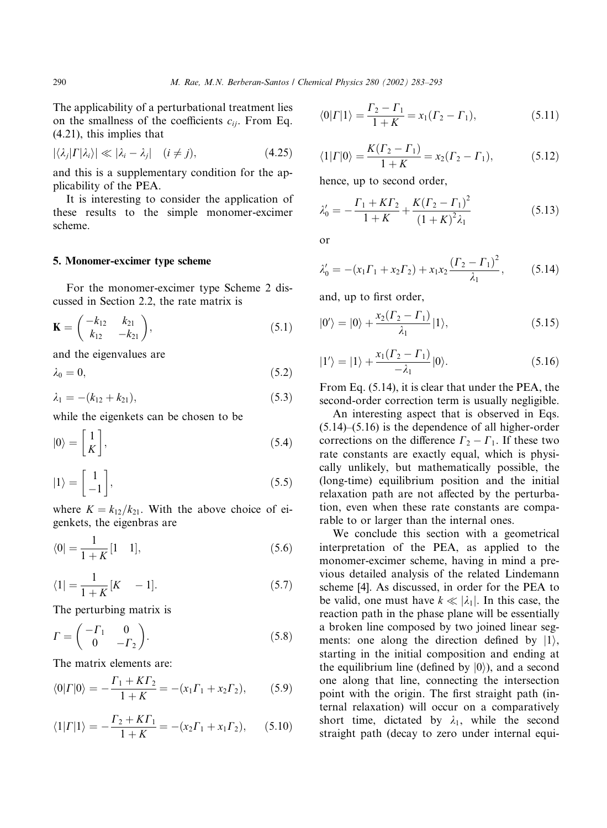The applicability of a perturbational treatment lies on the smallness of the coefficients  $c_{ii}$ . From Eq. (4.21), this implies that

$$
|\langle \lambda_j | \Gamma | \lambda_i \rangle| \ll |\lambda_i - \lambda_j| \quad (i \neq j), \tag{4.25}
$$

and this is a supplementary condition for the applicability of the PEA.

It is interesting to consider the application of these results to the simple monomer-excimer scheme.

### 5. Monomer-excimer type scheme

For the monomer-excimer type Scheme 2 discussed in Section 2.2, the rate matrix is

$$
\mathbf{K} = \begin{pmatrix} -k_{12} & k_{21} \\ k_{12} & -k_{21} \end{pmatrix},
$$
 (5.1)

and the eigenvalues are

$$
\lambda_0 = 0,\tag{5.2}
$$

$$
\lambda_1 = -(k_{12} + k_{21}), \tag{5.3}
$$

while the eigenkets can be chosen to be

$$
|0\rangle = \begin{bmatrix} 1 \\ K \end{bmatrix},\tag{5.4}
$$

$$
|1\rangle = \begin{bmatrix} 1 \\ -1 \end{bmatrix},\tag{5.5}
$$

where  $K = k_{12}/k_{21}$ . With the above choice of eigenkets, the eigenbras are

$$
\langle 0| = \frac{1}{1 + K} [1 \quad 1],\tag{5.6}
$$

$$
\langle 1| = \frac{1}{1+K} [K - 1]. \tag{5.7}
$$

The perturbing matrix is

$$
\Gamma = \begin{pmatrix} -\Gamma_1 & 0\\ 0 & -\Gamma_2 \end{pmatrix}.
$$
 (5.8)

The matrix elements are:

$$
\langle 0| \Gamma |0 \rangle = -\frac{\Gamma_1 + K\Gamma_2}{1 + K} = -(x_1 \Gamma_1 + x_2 \Gamma_2), \qquad (5.9)
$$

$$
\langle 1| \Gamma | 1 \rangle = -\frac{\Gamma_2 + K\Gamma_1}{1 + K} = -(x_2 \Gamma_1 + x_1 \Gamma_2), \quad (5.10)
$$

$$
\langle 0| \Gamma | 1 \rangle = \frac{\Gamma_2 - \Gamma_1}{1 + K} = x_1(\Gamma_2 - \Gamma_1), \tag{5.11}
$$

$$
\langle 1| \Gamma |0 \rangle = \frac{K(\Gamma_2 - \Gamma_1)}{1 + K} = x_2(\Gamma_2 - \Gamma_1),\tag{5.12}
$$

hence, up to second order,

$$
\lambda_0' = -\frac{\Gamma_1 + KT_2}{1 + K} + \frac{K(\Gamma_2 - \Gamma_1)^2}{(1 + K)^2 \lambda_1} \tag{5.13}
$$

or

$$
\lambda'_0 = -(x_1 \Gamma_1 + x_2 \Gamma_2) + x_1 x_2 \frac{(\Gamma_2 - \Gamma_1)^2}{\lambda_1}, \qquad (5.14)
$$

and, up to first order,

$$
|0'\rangle = |0\rangle + \frac{x_2(\Gamma_2 - \Gamma_1)}{\lambda_1}|1\rangle, \tag{5.15}
$$

$$
|1'\rangle = |1\rangle + \frac{x_1(\Gamma_2 - \Gamma_1)}{-\lambda_1}|0\rangle.
$$
 (5.16)

From Eq. (5.14), it is clear that under the PEA, the second-order correction term is usually negligible.

An interesting aspect that is observed in Eqs. (5.14)–(5.16) is the dependence of all higher-order corrections on the difference  $\Gamma_2 - \Gamma_1$ . If these two rate constants are exactly equal, which is physically unlikely, but mathematically possible, the (long-time) equilibrium position and the initial relaxation path are not affected by the perturbation, even when these rate constants are comparable to or larger than the internal ones.

We conclude this section with a geometrical interpretation of the PEA, as applied to the monomer-excimer scheme, having in mind a previous detailed analysis of the related Lindemann scheme [4]. As discussed, in order for the PEA to be valid, one must have  $k \ll |\lambda_1|$ . In this case, the reaction path in the phase plane will be essentially a broken line composed by two joined linear segments: one along the direction defined by  $|1\rangle$ , starting in the initial composition and ending at the equilibrium line (defined by  $|0\rangle$ ), and a second one along that line, connecting the intersection point with the origin. The first straight path (internal relaxation) will occur on a comparatively short time, dictated by  $\lambda_1$ , while the second straight path (decay to zero under internal equi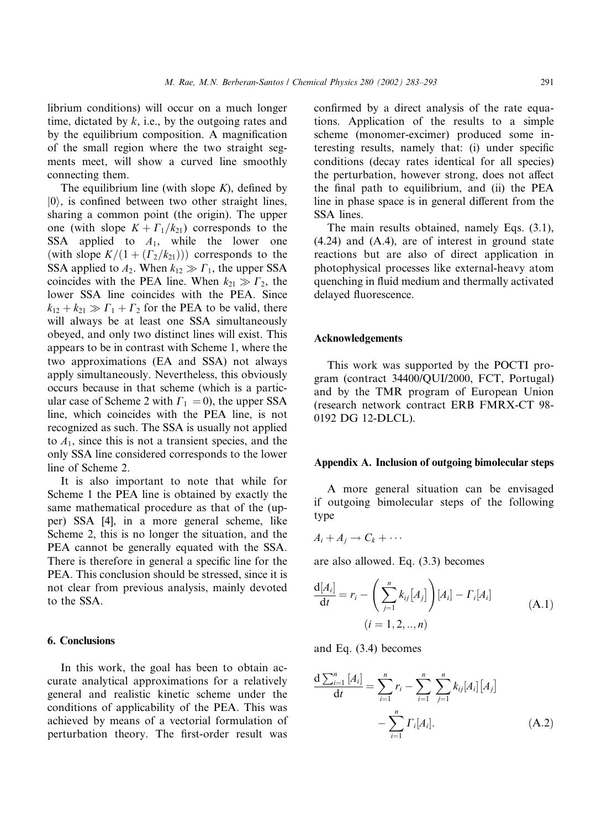librium conditions) will occur on a much longer time, dictated by  $k$ , i.e., by the outgoing rates and by the equilibrium composition. A magnification of the small region where the two straight segments meet, will show a curved line smoothly connecting them.

The equilibrium line (with slope  $K$ ), defined by  $|0\rangle$ , is confined between two other straight lines, sharing a common point (the origin). The upper one (with slope  $K + \Gamma_1/k_{21}$ ) corresponds to the SSA applied to  $A_1$ , while the lower one (with slope  $K/(1 + (\Gamma_2/k_{21}))$ ) corresponds to the SSA applied to  $A_2$ . When  $k_{12} \gg \Gamma_1$ , the upper SSA coincides with the PEA line. When  $k_{21} \gg \Gamma_2$ , the lower SSA line coincides with the PEA. Since  $k_{12} + k_{21} \gg \Gamma_1 + \Gamma_2$  for the PEA to be valid, there will always be at least one SSA simultaneously obeyed, and only two distinct lines will exist. This appears to be in contrast with Scheme 1, where the two approximations (EA and SSA) not always apply simultaneously. Nevertheless, this obviously occurs because in that scheme (which is a particular case of Scheme 2 with  $\Gamma_1 = 0$ ), the upper SSA line, which coincides with the PEA line, is not recognized as such. The SSA is usually not applied to  $A_1$ , since this is not a transient species, and the only SSA line considered corresponds to the lower line of Scheme 2.

It is also important to note that while for Scheme 1 the PEA line is obtained by exactly the same mathematical procedure as that of the (upper) SSA [4], in a more general scheme, like Scheme 2, this is no longer the situation, and the PEA cannot be generally equated with the SSA. There is therefore in general a specific line for the PEA. This conclusion should be stressed, since it is not clear from previous analysis, mainly devoted to the SSA.

### 6. Conclusions

In this work, the goal has been to obtain accurate analytical approximations for a relatively general and realistic kinetic scheme under the conditions of applicability of the PEA. This was achieved by means of a vectorial formulation of perturbation theory. The first-order result was

confirmed by a direct analysis of the rate equations. Application of the results to a simple scheme (monomer-excimer) produced some interesting results, namely that: (i) under specific conditions (decay rates identical for all species) the perturbation, however strong, does not affect the final path to equilibrium, and (ii) the PEA line in phase space is in general different from the SSA lines.

The main results obtained, namely Eqs. (3.1), (4.24) and (A.4), are of interest in ground state reactions but are also of direct application in photophysical processes like external-heavy atom quenching in fluid medium and thermally activated delayed fluorescence.

### Acknowledgements

This work was supported by the POCTI program (contract 34400/QUI/2000, FCT, Portugal) and by the TMR program of European Union (research network contract ERB FMRX-CT 98- 0192 DG 12-DLCL).

## Appendix A. Inclusion of outgoing bimolecular steps

A more general situation can be envisaged if outgoing bimolecular steps of the following type

$$
A_i + A_j \to C_k + \cdots
$$

are also allowed. Eq. (3.3) becomes

$$
\frac{d[A_i]}{dt} = r_i - \left(\sum_{j=1}^n k_{ij}[A_j]\right)[A_i] - \Gamma_i[A_i]
$$
\n
$$
(i = 1, 2, ..., n)
$$
\n(A.1)

and Eq. (3.4) becomes

$$
\frac{d \sum_{i=1}^{n} [A_i]}{dt} = \sum_{i=1}^{n} r_i - \sum_{i=1}^{n} \sum_{j=1}^{n} k_{ij} [A_i] [A_j]
$$

$$
- \sum_{i=1}^{n} \Gamma_i [A_i]. \qquad (A.2)
$$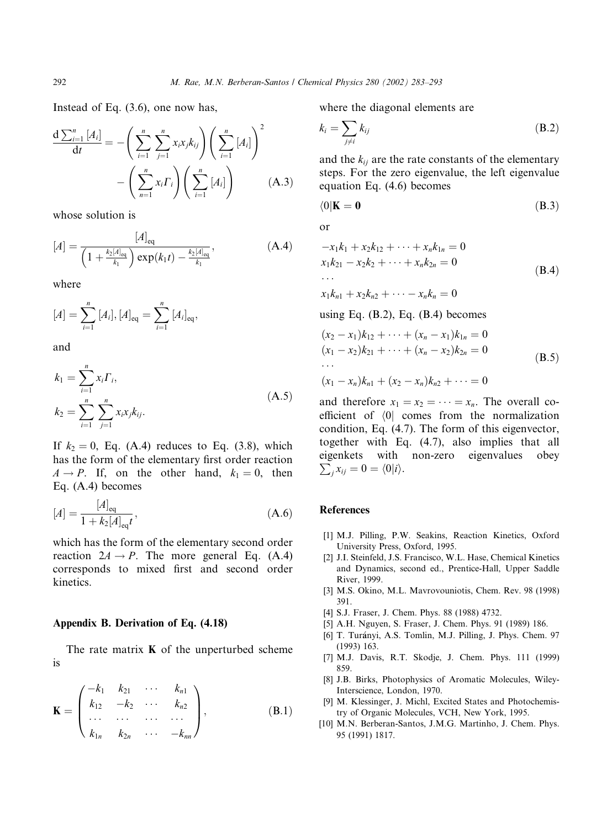Instead of Eq. (3.6), one now has,

$$
\frac{\mathrm{d}\sum_{i=1}^{n}[A_{i}]}{\mathrm{d}t} = -\left(\sum_{i=1}^{n}\sum_{j=1}^{n}x_{i}x_{j}k_{ij}\right)\left(\sum_{i=1}^{n}[A_{i}]\right)^{2} - \left(\sum_{n=1}^{n}x_{i}\Gamma_{i}\right)\left(\sum_{i=1}^{n}[A_{i}]\right) \tag{A.3}
$$

whose solution is

$$
[A] = \frac{[A]_{\text{eq}}}{\left(1 + \frac{k_2[A]_{\text{eq}}}{k_1}\right) \exp(k_1 t) - \frac{k_2[A]_{\text{eq}}}{k_1}},\tag{A.4}
$$

where

$$
[A] = \sum_{i=1}^{n} [A_i], [A]_{\text{eq}} = \sum_{i=1}^{n} [A_i]_{\text{eq}},
$$

and

$$
k_1 = \sum_{i=1}^n x_i \Gamma_i,
$$
  
\n
$$
k_2 = \sum_{i=1}^n \sum_{j=1}^n x_i x_j k_{ij}.
$$
\n(A.5)

If  $k_2 = 0$ , Eq. (A.4) reduces to Eq. (3.8), which has the form of the elementary first order reaction  $A \rightarrow P$ . If, on the other hand,  $k_1 = 0$ , then Eq. (A.4) becomes

$$
[A] = \frac{[A]_{\text{eq}}}{1 + k_2 [A]_{\text{eq}} t},
$$
\n(A.6)

which has the form of the elementary second order reaction  $2A \rightarrow P$ . The more general Eq. (A.4) corresponds to mixed first and second order kinetics.

# Appendix B. Derivation of Eq. (4.18)

The rate matrix  $\bf{K}$  of the unperturbed scheme is

$$
\mathbf{K} = \begin{pmatrix} -k_1 & k_{21} & \cdots & k_{n1} \\ k_{12} & -k_2 & \cdots & k_{n2} \\ \cdots & \cdots & \cdots & \cdots \\ k_{1n} & k_{2n} & \cdots & -k_{nn} \end{pmatrix},
$$
(B.1)

where the diagonal elements are

$$
k_i = \sum_{j \neq i} k_{ij} \tag{B.2}
$$

and the  $k_{ij}$  are the rate constants of the elementary steps. For the zero eigenvalue, the left eigenvalue equation Eq. (4.6) becomes

$$
\langle 0|\mathbf{K}=\mathbf{0} \tag{B.3}
$$

or

$$
-x_1k_1 + x_2k_{12} + \dots + x_nk_{1n} = 0
$$
  
\n
$$
x_1k_{21} - x_2k_2 + \dots + x_nk_{2n} = 0
$$
  
\n
$$
x_1k_{n1} + x_2k_{n2} + \dots - x_nk_n = 0
$$
  
\n(B.4)

using Eq. (B.2), Eq. (B.4) becomes

$$
(x_2 - x_1)k_{12} + \cdots + (x_n - x_1)k_{1n} = 0
$$
  
\n
$$
(x_1 - x_2)k_{21} + \cdots + (x_n - x_2)k_{2n} = 0
$$
  
\n
$$
\cdots
$$
  
\n
$$
(x_1 - x_n)k_{n1} + (x_2 - x_n)k_{n2} + \cdots = 0
$$
  
\n(B.5)

and therefore  $x_1 = x_2 = \cdots = x_n$ . The overall coefficient of  $\langle 0|$  comes from the normalization condition, Eq. (4.7). The form of this eigenvector, together with Eq. (4.7), also implies that all eigenkets with non-zero eigenvalues obey  $\sum_j x_{ij} = 0 = \langle 0 | i \rangle.$ 

# References

- [1] M.J. Pilling, P.W. Seakins, Reaction Kinetics, Oxford University Press, Oxford, 1995.
- [2] J.I. Steinfeld, J.S. Francisco, W.L. Hase, Chemical Kinetics and Dynamics, second ed., Prentice-Hall, Upper Saddle River, 1999.
- [3] M.S. Okino, M.L. Mavrovouniotis, Chem. Rev. 98 (1998) 391.
- [4] S.J. Fraser, J. Chem. Phys. 88 (1988) 4732.
- [5] A.H. Nguyen, S. Fraser, J. Chem. Phys. 91 (1989) 186.
- [6] T. Turányi, A.S. Tomlin, M.J. Pilling, J. Phys. Chem. 97 (1993) 163.
- [7] M.J. Davis, R.T. Skodje, J. Chem. Phys. 111 (1999) 859.
- [8] J.B. Birks, Photophysics of Aromatic Molecules, Wiley-Interscience, London, 1970.
- [9] M. Klessinger, J. Michl, Excited States and Photochemistry of Organic Molecules, VCH, New York, 1995.
- [10] M.N. Berberan-Santos, J.M.G. Martinho, J. Chem. Phys. 95 (1991) 1817.